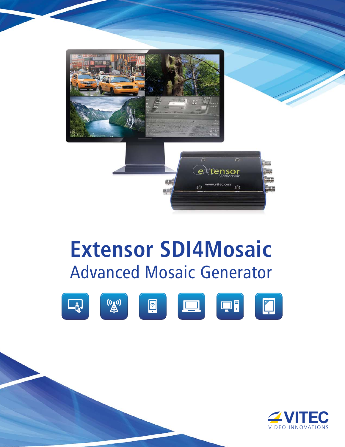

# **Extensor SDI4Mosaic** Advanced Mosaic Generator



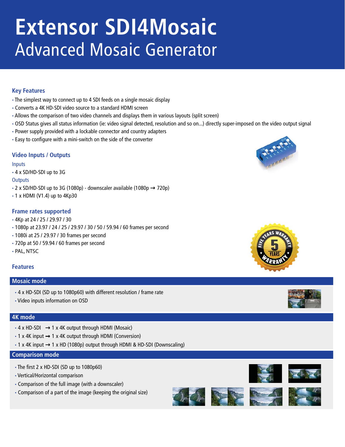# **Extensor SDI4Mosaic** Advanced Mosaic Generator

# **Key Features**

- **·** The simplest way to connect up to 4 SDI feeds on a single mosaic display
- **·** Converts a 4K HD-SDI video source to a standard HDMI screen
- **·** Allows the comparison of two video channels and displays them in various layouts (split screen)
- **·** OSD Status gives all status information (ie: video signal detected, resolution and so on...) directly super-imposed on the video output signal
- **·** Power supply provided with a lockable connector and country adapters
- **·** Easy to configure with a mini-switch on the side of the converter

# **Video Inputs / Outputs**

#### Inputs

**·** 4 x SD/HD-SDI up to 3G

#### **Outputs**

- **•** 2 x SD/HD-SDI up to 3G (1080p) downscaler available (1080p → 720p)
- **·** 1 x HDMI (V1.4) up to 4Kp30

# **Frame rates supported**

- **·** 4Kp at 24 / 25 / 29.97 / 30
- **·** 1080p at 23.97 / 24 / 25 / 29.97 / 30 / 50 / 59.94 / 60 frames per second
- **·** 1080i at 25 / 29.97 / 30 frames per second
- **·** 720p at 50 / 59.94 / 60 frames per second
- **·** PAL, NTSC

#### **Features**

#### **Mosaic mode**

- **·** 4 x HD-SDI (SD up to 1080p60) with different resolution / frame rate
- **·** Video inputs information on OSD

#### **4K mode**

- 4 x HD-SDI → 1 x 4K output through HDMI (Mosaic)
- **·** 1 x 4K input 1 x 4K output through HDMI (Conversion)
- **·** 1 x 4K input → 1 x HD (1080p) output through HDMI & HD-SDI (Downscaling)

#### **Comparison mode**

- **·** The first 2 x HD-SDI (SD up to 1080p60)
- **·** Vertical/Horizontal comparison
- **·** Comparison of the full image (with a downscaler)
- **·** Comparison of a part of the image (keeping the original size)













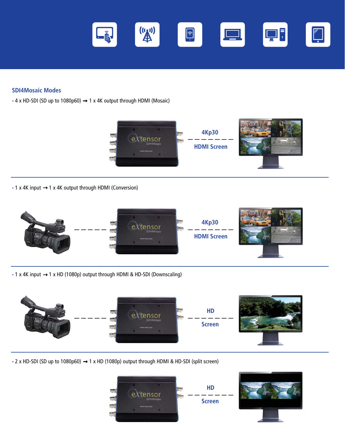

## **SDI4Mosaic Modes**

**·** 4 x HD-SDI (SD up to 1080p60) → 1 x 4K output through HDMI (Mosaic)



**·** 1 x 4K input 1 x 4K output through HDMI (Conversion)



**·** 1 x 4K input → 1 x HD (1080p) output through HDMI & HD-SDI (Downscaling)



**·** 2 x HD-SDI (SD up to 1080p60) 1 x HD (1080p) output through HDMI & HD-SDI (split screen)